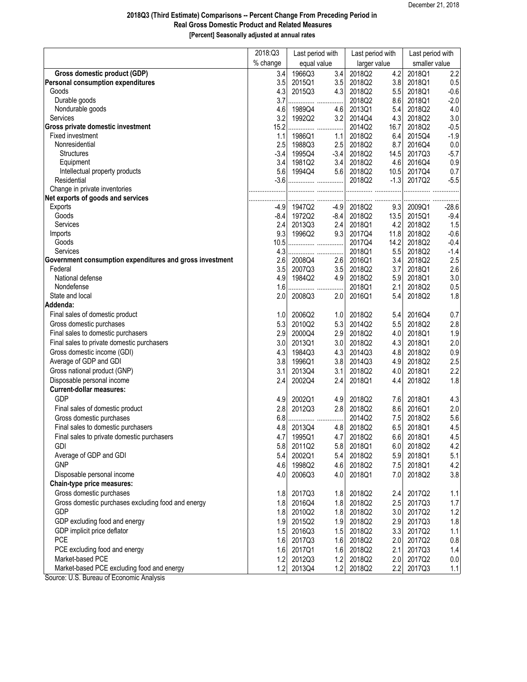## **2018Q3 (Third Estimate) Comparisons -- Percent Change From Preceding Period in Real Gross Domestic Product and Related Measures [Percent] Seasonally adjusted at annual rates**

|                                                                                      | 2018:Q3    | Last period with<br>equal value |               | Last period with<br>larger value |             | Last period with<br>smaller value |               |
|--------------------------------------------------------------------------------------|------------|---------------------------------|---------------|----------------------------------|-------------|-----------------------------------|---------------|
|                                                                                      | % change   |                                 |               |                                  |             |                                   |               |
| Gross domestic product (GDP)                                                         | 3.4        | 1966Q3                          | 3.4           | 2018Q2                           | 4.2         | 2018Q1                            | 2.2           |
| <b>Personal consumption expenditures</b>                                             | 3.5        | 2015Q1                          | 3.5           | 2018Q2                           | 3.8         | 2018Q1                            | 0.5           |
| Goods                                                                                | 4.3        | 2015Q3                          | 4.3           | 2018Q2                           | 5.5         | 2018Q1                            | $-0.6$        |
| Durable goods                                                                        | 3.7        |                                 | .             | 2018Q2                           | 8.6         | 2018Q1                            | $-2.0$        |
| Nondurable goods                                                                     | 4.6        | 1989Q4                          | 4.6           | 2013Q1                           | 5.4         | 2018Q2                            | 4.0           |
| Services                                                                             | 3.2        | 1992Q2                          | 3.2           | 2014Q4                           | 4.3         | 2018Q2                            | 3.0           |
| Gross private domestic investment<br>Fixed investment                                | 15.2       |                                 |               | 2014Q2                           | 16.7        | 2018Q2<br>2015Q4                  | $-0.5$        |
| Nonresidential                                                                       | 1.1<br>2.5 | 1986Q1<br>1988Q3                | 1.1           | 2018Q2<br>2018Q2                 | 6.4         | 2016Q4                            | $-1.9$        |
| <b>Structures</b>                                                                    | $-3.4$     | 1995Q4                          | 2.5<br>$-3.4$ | 2018Q2                           | 8.7<br>14.5 | 2017Q3                            | 0.0<br>$-5.7$ |
| Equipment                                                                            | 3.4        | 1981Q2                          | 3.4           | 2018Q2                           | 4.6         | 2016Q4                            | 0.9           |
| Intellectual property products                                                       | 5.6        | 1994Q4                          | 5.6           | 2018Q2                           | 10.5        | 2017Q4                            | 0.7           |
| Residential                                                                          | $-3.6$     |                                 |               | 2018Q2                           | $-1.3$      | 2017Q2                            | $-5.5$        |
| Change in private inventories                                                        |            |                                 |               |                                  |             |                                   |               |
| Net exports of goods and services                                                    |            |                                 |               |                                  |             |                                   |               |
| <b>Exports</b>                                                                       | $-4.9$     | 1947Q2                          | $-4.9$        | 2018Q2                           | 9.3         | 2009Q1                            | $-28.6$       |
| Goods                                                                                | $-8.4$     | 1972Q2                          | $-8.4$        | 2018Q2                           | 13.5        | 2015Q1                            | $-9.4$        |
| Services                                                                             | 2.4        | 2013Q3                          | 2.4           | 2018Q1                           | 4.2         | 2018Q2                            | 1.5           |
| Imports                                                                              | 9.3        | 1996Q2                          | 9.3           | 2017Q4                           | 11.8        | 2018Q2                            | $-0.6$        |
| Goods                                                                                | 10.5       |                                 |               | 2017Q4                           | 14.2        | 2018Q2                            | $-0.4$        |
| <b>Services</b>                                                                      | 4.3        |                                 |               | 2018Q1                           | 5.5         | 2018Q2                            | $-1.4$        |
| Government consumption expenditures and gross investment                             | 2.6        | 2008Q4                          | 2.6           | 2016Q1                           | 3.4         | 2018Q2                            | 2.5           |
| Federal                                                                              | 3.5        | 2007Q3                          | 3.5           | 2018Q2                           | 3.7         | 2018Q1                            | 2.6           |
| National defense                                                                     | 4.9        | 1984Q2                          | 4.9           | 2018Q2                           | 5.9         | 2018Q1                            | 3.0           |
| Nondefense                                                                           | 1.6        |                                 |               | 2018Q1                           | 2.1         | 2018Q2                            | $0.5\,$       |
| State and local                                                                      | 2.0        | 2008Q3                          | 2.0           | 2016Q1                           | 5.4         | 2018Q2                            | 1.8           |
| Addenda:                                                                             |            |                                 |               |                                  |             |                                   |               |
| Final sales of domestic product                                                      | 1.0        | 2006Q2                          | 1.0           | 2018Q2                           | 5.4         | 2016Q4                            | 0.7           |
| Gross domestic purchases                                                             | 5.3        | 2010Q2                          | 5.3           | 2014Q2                           | 5.5         | 2018Q2                            | 2.8           |
| Final sales to domestic purchasers                                                   | 2.9        | 2000Q4                          | 2.9           | 2018Q2                           | 4.0         | 2018Q1                            | 1.9           |
| Final sales to private domestic purchasers                                           | 3.0        | 2013Q1                          | 3.0           | 2018Q2                           | 4.3         | 2018Q1                            | 2.0           |
| Gross domestic income (GDI)                                                          | 4.3        | 1984Q3                          | 4.3           | 2014Q3                           | 4.8         | 2018Q2                            | 0.9           |
| Average of GDP and GDI                                                               | 3.8        | 1996Q1                          | 3.8           | 2014Q3                           | 4.9         | 2018Q2                            | 2.5           |
| Gross national product (GNP)                                                         | 3.1        | 2013Q4                          | 3.1           | 2018Q2                           | 4.0         | 2018Q1                            | 2.2           |
| Disposable personal income                                                           | 2.4        | 2002Q4                          | 2.4           | 2018Q1                           | 4.4         | 2018Q2                            | 1.8           |
| <b>Current-dollar measures:</b>                                                      |            |                                 |               |                                  |             |                                   |               |
| <b>GDP</b>                                                                           | 4.9        | 2002Q1                          | 4.9           | 2018Q2                           | 7.6         | 2018Q1                            | 4.3           |
| Final sales of domestic product                                                      | 2.8        | 2012Q3                          | 2.8           | 2018Q2                           | 8.6         | 2016Q1                            | 2.0           |
| Gross domestic purchases                                                             | 6.8        |                                 | .             | 2014Q2                           | 7.5         | 2018Q2                            | 5.6           |
| Final sales to domestic purchasers                                                   | 4.8        | 2013Q4                          | 4.8           | 2018Q2                           | 6.5         | 2018Q1                            | 4.5           |
| Final sales to private domestic purchasers                                           | 4.7        | 1995Q1                          | 4.7           | 2018Q2                           | 6.6         | 2018Q1                            | 4.5           |
| <b>GDI</b>                                                                           | 5.8        | 2011Q2                          | 5.8           | 2018Q1                           | 6.0         | 2018Q2                            | 4.2           |
| Average of GDP and GDI                                                               | 5.4        | 2002Q1                          | 5.4           | 2018Q2                           | 5.9         | 2018Q1                            | 5.1           |
| <b>GNP</b>                                                                           | 4.6        | 1998Q2                          | 4.6           | 2018Q2                           | 7.5         | 2018Q1                            | 4.2           |
| Disposable personal income                                                           | 4.0        | 2006Q3                          | 4.0           | 2018Q1                           | 7.0         | 2018Q2                            | 3.8           |
| <b>Chain-type price measures:</b>                                                    |            |                                 |               |                                  |             |                                   |               |
| Gross domestic purchases                                                             | 1.8        | 2017Q3                          | 1.8           | 2018Q2                           | 2.4         | 2017Q2                            | 1.1           |
| Gross domestic purchases excluding food and energy                                   | 1.8        | 2016Q4                          | 1.8           | 2018Q2                           | 2.5         | 2017Q3                            | 1.7           |
| <b>GDP</b>                                                                           |            |                                 |               |                                  |             |                                   |               |
|                                                                                      | 1.8<br>1.9 | 2010Q2                          | 1.8           | 2018Q2                           | 3.0         | 2017Q2                            | 1.2           |
| GDP excluding food and energy                                                        |            | 2015Q2                          | 1.9           | 2018Q2                           | 2.9         | 2017Q3                            | $1.8\,$       |
| GDP implicit price deflator<br><b>PCE</b>                                            | 1.5        | 2016Q3                          | 1.5           | 2018Q2                           | 3.3         | 2017Q2                            | 1.1           |
|                                                                                      | 1.6        | 2017Q3                          | 1.6           | 2018Q2                           | 2.0         | 2017Q2                            | 0.8           |
| PCE excluding food and energy                                                        | 1.6        | 2017Q1                          | 1.6           | 2018Q2                           | 2.1         | 2017Q3                            | 1.4           |
| Market-based PCE                                                                     | 1.2        | 2012Q3                          | 1.2           | 2018Q2                           | 2.0         | 2017Q2                            | 0.0           |
| Market-based PCE excluding food and energy<br>Course: U.C. Dunsey of Essessois Angly | 1.2        | 2013Q4                          | 1.2           | 2018Q2                           | 2.2         | 2017Q3                            | 1.1           |

Source: U.S. Bureau of Economic Analysis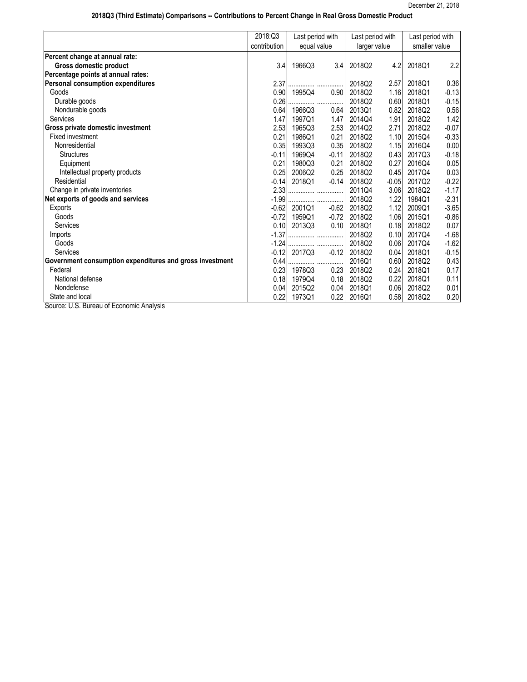## **2018Q3 (Third Estimate) Comparisons -- Contributions to Percent Change in Real Gross Domestic Product**

| contribution<br>Percent change at annual rate:<br><b>Gross domestic product</b><br>3.4<br>1966Q3<br>Percentage points at annual rates: | equal value<br>3.4 | larger value<br>2018Q2 |         | smaller value |         |
|----------------------------------------------------------------------------------------------------------------------------------------|--------------------|------------------------|---------|---------------|---------|
|                                                                                                                                        |                    |                        |         |               |         |
|                                                                                                                                        |                    |                        |         |               |         |
|                                                                                                                                        |                    |                        | 4.2     | 2018Q1        | 2.2     |
|                                                                                                                                        |                    |                        |         |               |         |
| <b>Personal consumption expenditures</b><br>2.37                                                                                       |                    | 2018Q2                 | 2.57    | 2018Q1        | 0.36    |
| 0.90<br>1995Q4<br>Goods                                                                                                                | 0.90               | 2018Q2                 | 1.16    | 2018Q1        | $-0.13$ |
| Durable goods<br>0.26                                                                                                                  |                    | 2018Q2                 | 0.60    | 2018Q1        | $-0.15$ |
| 0.64<br>Nondurable goods<br>1966Q3                                                                                                     | 0.64               | 2013Q1                 | 0.82    | 2018Q2        | 0.56    |
| 1.47<br>Services<br>1997Q1                                                                                                             | 1.47               | 2014Q4                 | 1.91    | 2018Q2        | 1.42    |
| Gross private domestic investment<br>2.53<br>1965Q3                                                                                    | 2.53               | 2014Q2                 | 2.71    | 2018Q2        | $-0.07$ |
| Fixed investment<br>0.21<br>1986Q1                                                                                                     | 0.21               | 2018Q2                 | 1.10    | 2015Q4        | $-0.33$ |
| Nonresidential<br>0.35<br>1993Q3                                                                                                       | 0.35               | 2018Q2                 | 1.15    | 2016Q4        | 0.00    |
| <b>Structures</b><br>$-0.11$<br>1969Q4                                                                                                 | $-0.11$            | 2018Q2                 | 0.43    | 2017Q3        | $-0.18$ |
| 0.21<br>1980Q3<br>Equipment                                                                                                            | 0.21               | 2018Q2                 | 0.27    | 2016Q4        | 0.05    |
| Intellectual property products<br>0.25<br>2006Q2                                                                                       | 0.25               | 2018Q2                 | 0.45    | 2017Q4        | 0.03    |
| Residential<br>$-0.14$<br>2018Q1                                                                                                       | $-0.14$            | 2018Q2                 | $-0.05$ | 2017Q2        | $-0.22$ |
| Change in private inventories<br>2.33                                                                                                  |                    | 2011Q4                 | 3.06    | 2018Q2        | $-1.17$ |
| Net exports of goods and services<br>$-1.99$                                                                                           |                    | 2018Q2                 | 1.22    | 1984Q1        | $-2.31$ |
| $-0.62$<br>2001Q1<br><b>Exports</b>                                                                                                    | $-0.62$            | 2018Q2                 | 1.12    | 2009Q1        | $-3.65$ |
| Goods<br>$-0.72$<br>1959Q1                                                                                                             | $-0.72$            | 2018Q2                 | 1.06    | 2015Q1        | $-0.86$ |
| 0.10<br><b>Services</b><br>2013Q3                                                                                                      | 0.10               | 2018Q1                 | 0.18    | 2018Q2        | 0.07    |
| $-1.37$<br>Imports                                                                                                                     |                    | 2018Q2                 | 0.10    | 2017Q4        | $-1.68$ |
| $-1.24$<br>Goods                                                                                                                       |                    | 2018Q2                 | 0.06    | 2017Q4        | $-1.62$ |
| Services<br>$-0.12$<br>2017Q3                                                                                                          | $-0.12$            | 2018Q2                 | 0.04    | 2018Q1        | $-0.15$ |
| Government consumption expenditures and gross investment<br>0.44                                                                       |                    | 2016Q1                 | 0.60    | 2018Q2        | 0.43    |
| Federal<br>0.23<br>1978Q3                                                                                                              | 0.23               | 2018Q2                 | 0.24    | 2018Q1        | 0.17    |
| National defense<br>0.18<br>1979Q4                                                                                                     | 0.18               | 2018Q2                 | 0.22    | 2018Q1        | 0.11    |
| Nondefense<br>0.04<br>2015Q2                                                                                                           | 0.04               | 2018Q1                 | 0.06    | 2018Q2        | 0.01    |
| 0.22<br>State and local<br>1973Q1<br>Source: LLS. Bureau of Foonomic Analysis                                                          | 0.22               | 2016Q1                 | 0.58    | 2018Q2        | 0.20    |

Source: U.S. Bureau of Economic Analysis